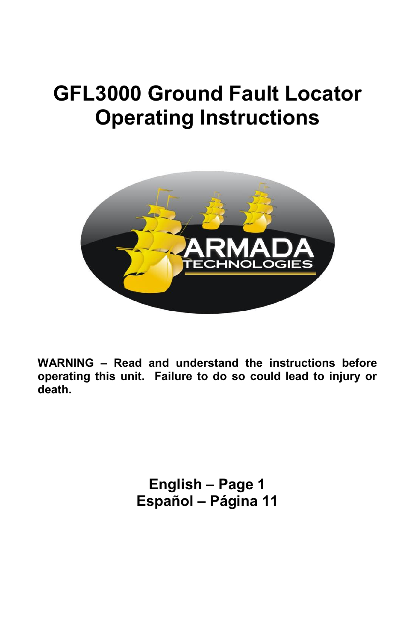# **GFL3000 Ground Fault Locator Operating Instructions**



**WARNING – Read and understand the instructions before operating this unit. Failure to do so could lead to injury or death.** 

> **English – Page 1 Español – Página 11**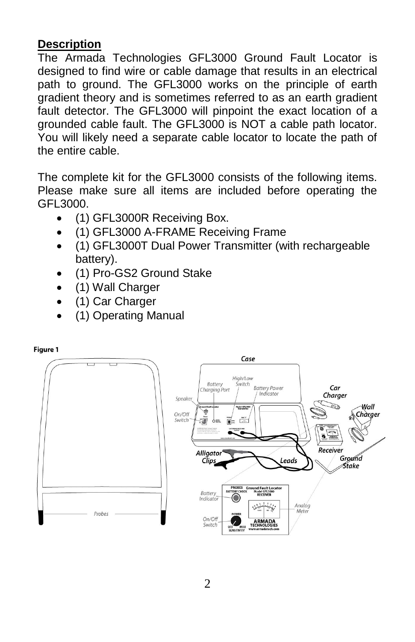# **Description**

The Armada Technologies GFL3000 Ground Fault Locator is designed to find wire or cable damage that results in an electrical path to ground. The GFL3000 works on the principle of earth gradient theory and is sometimes referred to as an earth gradient fault detector. The GFL3000 will pinpoint the exact location of a grounded cable fault. The GFL3000 is NOT a cable path locator. You will likely need a separate cable locator to locate the path of the entire cable.

The complete kit for the GFL3000 consists of the following items. Please make sure all items are included before operating the GFL3000.

- (1) GFL3000R Receiving Box.
- (1) GFL3000 A-FRAME Receiving Frame
- (1) GFL3000T Dual Power Transmitter (with rechargeable battery).
- (1) Pro-GS2 Ground Stake
- (1) Wall Charger
- (1) Car Charger
- (1) Operating Manual

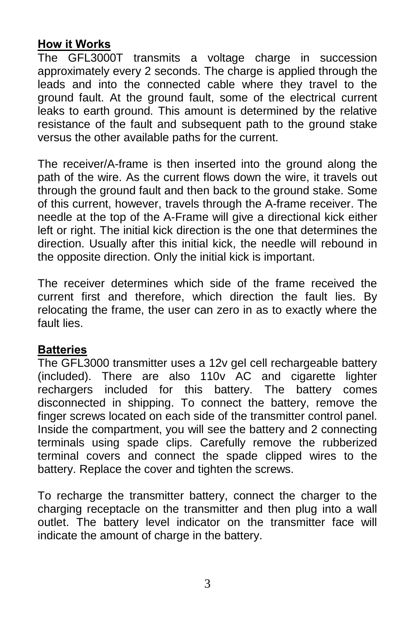# **How it Works**

The GFL3000T transmits a voltage charge in succession approximately every 2 seconds. The charge is applied through the leads and into the connected cable where they travel to the ground fault. At the ground fault, some of the electrical current leaks to earth ground. This amount is determined by the relative resistance of the fault and subsequent path to the ground stake versus the other available paths for the current.

The receiver/A-frame is then inserted into the ground along the path of the wire. As the current flows down the wire, it travels out through the ground fault and then back to the ground stake. Some of this current, however, travels through the A-frame receiver. The needle at the top of the A-Frame will give a directional kick either left or right. The initial kick direction is the one that determines the direction. Usually after this initial kick, the needle will rebound in the opposite direction. Only the initial kick is important.

The receiver determines which side of the frame received the current first and therefore, which direction the fault lies. By relocating the frame, the user can zero in as to exactly where the fault lies.

# **Batteries**

The GFL3000 transmitter uses a 12v gel cell rechargeable battery (included). There are also 110v AC and cigarette lighter rechargers included for this battery. The battery comes disconnected in shipping. To connect the battery, remove the finger screws located on each side of the transmitter control panel. Inside the compartment, you will see the battery and 2 connecting terminals using spade clips. Carefully remove the rubberized terminal covers and connect the spade clipped wires to the battery. Replace the cover and tighten the screws.

To recharge the transmitter battery, connect the charger to the charging receptacle on the transmitter and then plug into a wall outlet. The battery level indicator on the transmitter face will indicate the amount of charge in the battery.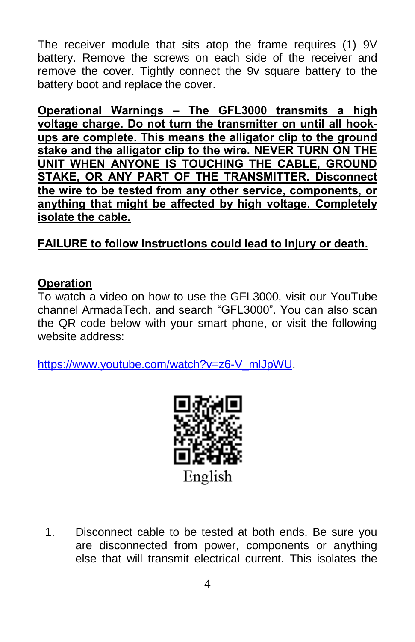The receiver module that sits atop the frame requires (1) 9V battery. Remove the screws on each side of the receiver and remove the cover. Tightly connect the 9v square battery to the battery boot and replace the cover.

**Operational Warnings – The GFL3000 transmits a high voltage charge. Do not turn the transmitter on until all hookups are complete. This means the alligator clip to the ground stake and the alligator clip to the wire. NEVER TURN ON THE UNIT WHEN ANYONE IS TOUCHING THE CABLE, GROUND STAKE, OR ANY PART OF THE TRANSMITTER. Disconnect the wire to be tested from any other service, components, or anything that might be affected by high voltage. Completely isolate the cable.** 

# **FAILURE to follow instructions could lead to injury or death.**

### **Operation**

To watch a video on how to use the GFL3000, visit our YouTube channel ArmadaTech, and search "GFL3000". You can also scan the QR code below with your smart phone, or visit the following website address:

[https://www.youtube.com/watch?v=z6-V\\_mlJpWU.](https://www.youtube.com/watch?v=z6-V_mlJpWU)



1. Disconnect cable to be tested at both ends. Be sure you are disconnected from power, components or anything else that will transmit electrical current. This isolates the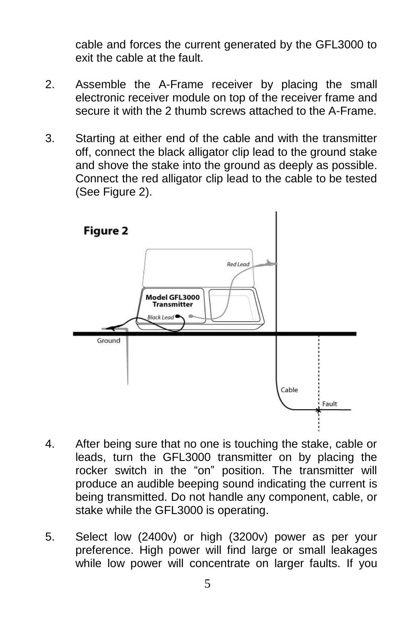cable and forces the current generated by the GFL3000 to exit the cable at the fault.

- 2. Assemble the A-Frame receiver by placing the small electronic receiver module on top of the receiver frame and secure it with the 2 thumb screws attached to the A-Frame.
- 3. Starting at either end of the cable and with the transmitter off, connect the black alligator clip lead to the ground stake and shove the stake into the ground as deeply as possible. Connect the red alligator clip lead to the cable to be tested (See Figure 2).



- 4. After being sure that no one is touching the stake, cable or leads, turn the GFL3000 transmitter on by placing the rocker switch in the "on" position. The transmitter will produce an audible beeping sound indicating the current is being transmitted. Do not handle any component, cable, or stake while the GFL3000 is operating.
- 5. Select low (2400v) or high (3200v) power as per your preference. High power will find large or small leakages while low power will concentrate on larger faults. If you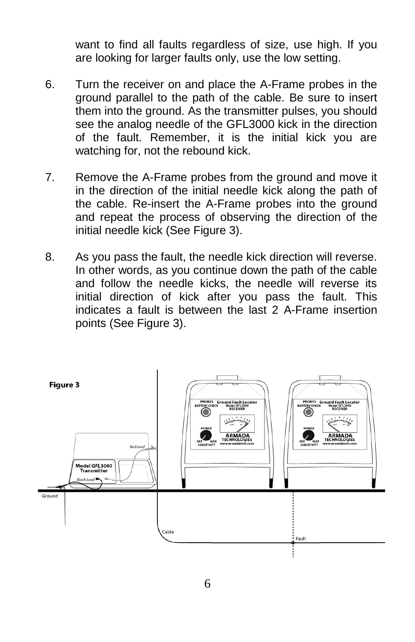want to find all faults regardless of size, use high. If you are looking for larger faults only, use the low setting.

- 6. Turn the receiver on and place the A-Frame probes in the ground parallel to the path of the cable. Be sure to insert them into the ground. As the transmitter pulses, you should see the analog needle of the GFL3000 kick in the direction of the fault. Remember, it is the initial kick you are watching for, not the rebound kick.
- 7. Remove the A-Frame probes from the ground and move it in the direction of the initial needle kick along the path of the cable. Re-insert the A-Frame probes into the ground and repeat the process of observing the direction of the initial needle kick (See Figure 3).
- 8. As you pass the fault, the needle kick direction will reverse. In other words, as you continue down the path of the cable and follow the needle kicks, the needle will reverse its initial direction of kick after you pass the fault. This indicates a fault is between the last 2 A-Frame insertion points (See Figure 3).

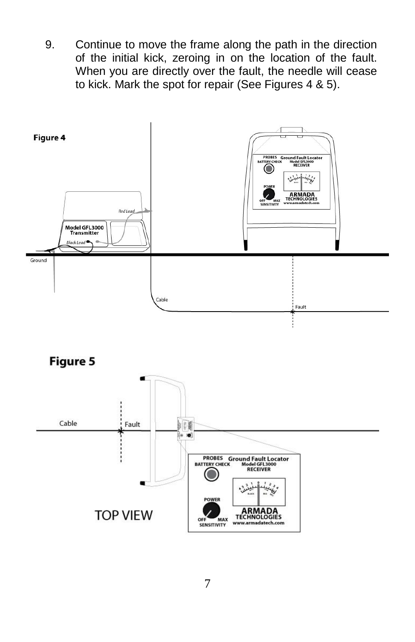9. Continue to move the frame along the path in the direction of the initial kick, zeroing in on the location of the fault. When you are directly over the fault, the needle will cease to kick. Mark the spot for repair (See Figures 4 & 5).



**Figure 5** 

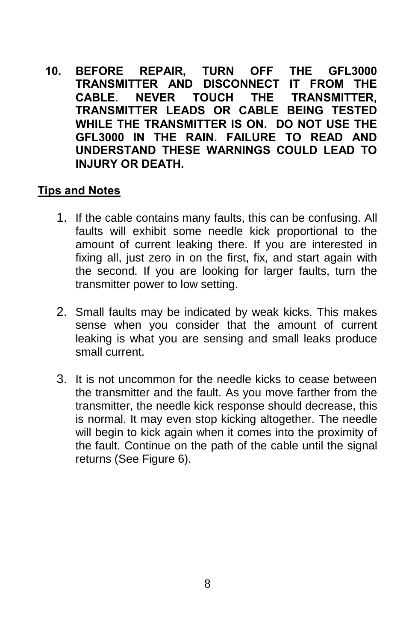**10. BEFORE REPAIR, TURN OFF THE GFL3000 TRANSMITTER AND DISCONNECT IT FROM THE CABLE. NEVER TOUCH THE TRANSMITTER, TRANSMITTER LEADS OR CABLE BEING TESTED WHILE THE TRANSMITTER IS ON. DO NOT USE THE GFL3000 IN THE RAIN. FAILURE TO READ AND UNDERSTAND THESE WARNINGS COULD LEAD TO INJURY OR DEATH.**

#### **Tips and Notes**

- 1. If the cable contains many faults, this can be confusing. All faults will exhibit some needle kick proportional to the amount of current leaking there. If you are interested in fixing all, just zero in on the first, fix, and start again with the second. If you are looking for larger faults, turn the transmitter power to low setting.
- 2. Small faults may be indicated by weak kicks. This makes sense when you consider that the amount of current leaking is what you are sensing and small leaks produce small current.
- 3. It is not uncommon for the needle kicks to cease between the transmitter and the fault. As you move farther from the transmitter, the needle kick response should decrease, this is normal. It may even stop kicking altogether. The needle will begin to kick again when it comes into the proximity of the fault. Continue on the path of the cable until the signal returns (See Figure 6).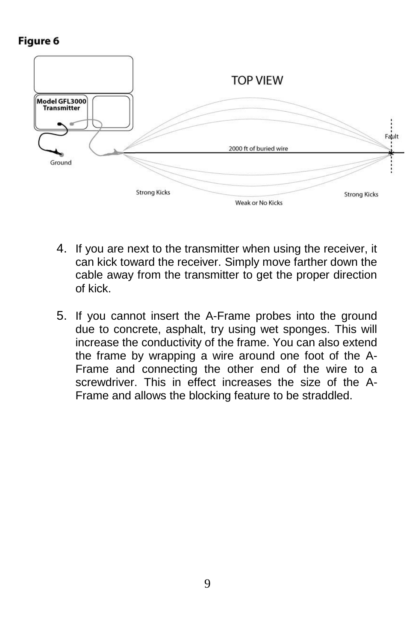# Figure 6



- 4. If you are next to the transmitter when using the receiver, it can kick toward the receiver. Simply move farther down the cable away from the transmitter to get the proper direction of kick.
- 5. If you cannot insert the A-Frame probes into the ground due to concrete, asphalt, try using wet sponges. This will increase the conductivity of the frame. You can also extend the frame by wrapping a wire around one foot of the A-Frame and connecting the other end of the wire to a screwdriver. This in effect increases the size of the A-Frame and allows the blocking feature to be straddled.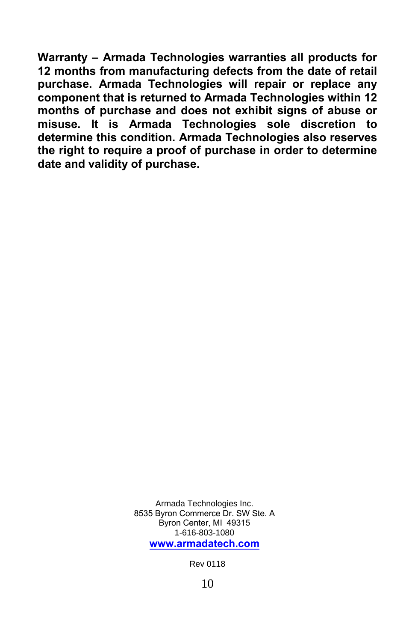**Warranty – Armada Technologies warranties all products for 12 months from manufacturing defects from the date of retail purchase. Armada Technologies will repair or replace any component that is returned to Armada Technologies within 12 months of purchase and does not exhibit signs of abuse or misuse. It is Armada Technologies sole discretion to determine this condition. Armada Technologies also reserves the right to require a proof of purchase in order to determine date and validity of purchase.** 

> Armada Technologies Inc. 8535 Byron Commerce Dr. SW Ste. A Byron Center, MI 49315 1-616-803-1080 **[www.armadatech.com](http://www.armadatech.com/)**

> > Rev 0118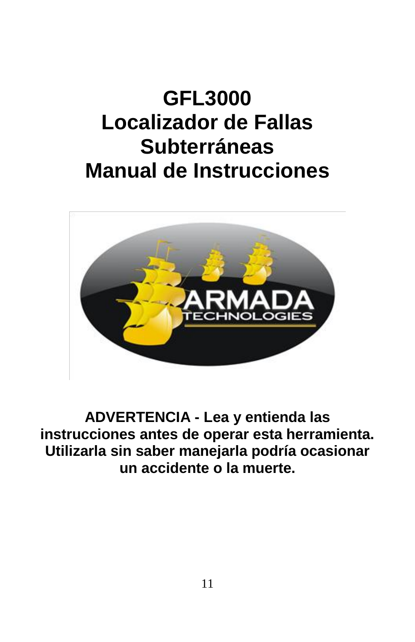# **GFL3000 Localizador de Fallas Subterráneas Manual de Instrucciones**



**ADVERTENCIA - Lea y entienda las instrucciones antes de operar esta herramienta. Utilizarla sin saber manejarla podría ocasionar un accidente o la muerte.**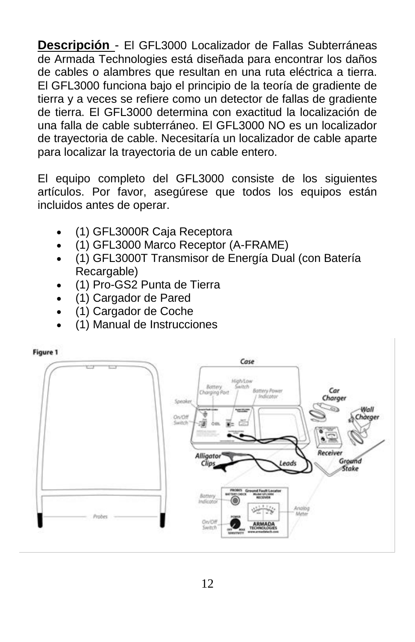**Descripción** - El GFL3000 Localizador de Fallas Subterráneas de Armada Technologies está diseñada para encontrar los daños de cables o alambres que resultan en una ruta eléctrica a tierra. El GFL3000 funciona bajo el principio de la teoría de gradiente de tierra y a veces se refiere como un detector de fallas de gradiente de tierra. El GFL3000 determina con exactitud la localización de una falla de cable subterráneo. El GFL3000 NO es un localizador de trayectoria de cable. Necesitaría un localizador de cable aparte para localizar la trayectoria de un cable entero.

El equipo completo del GFL3000 consiste de los siguientes artículos. Por favor, asegúrese que todos los equipos están incluidos antes de operar.

- (1) GFL3000R Caja Receptora
- (1) GFL3000 Marco Receptor (A-FRAME)
- (1) GFL3000T Transmisor de Energía Dual (con Batería Recargable)
- (1) Pro-GS2 Punta de Tierra
- (1) Cargador de Pared
- (1) Cargador de Coche
- (1) Manual de Instrucciones

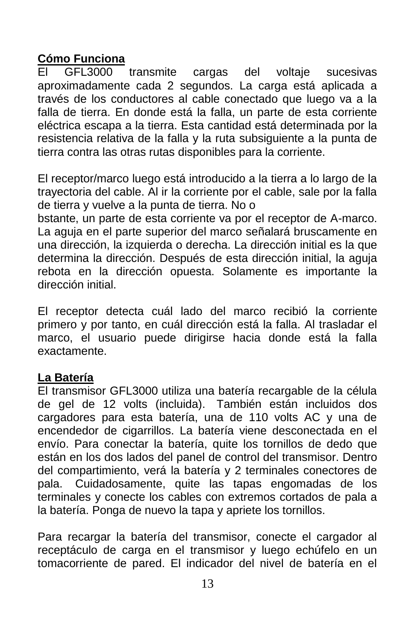## **Cómo Funciona**

El GFL3000 transmite cargas del voltaje sucesivas aproximadamente cada 2 segundos. La carga está aplicada a través de los conductores al cable conectado que luego va a la falla de tierra. En donde está la falla, un parte de esta corriente eléctrica escapa a la tierra. Esta cantidad está determinada por la resistencia relativa de la falla y la ruta subsiguiente a la punta de tierra contra las otras rutas disponibles para la corriente.

El receptor/marco luego está introducido a la tierra a lo largo de la trayectoria del cable. Al ir la corriente por el cable, sale por la falla de tierra y vuelve a la punta de tierra. No o

bstante, un parte de esta corriente va por el receptor de A-marco. La aguja en el parte superior del marco señalará bruscamente en una dirección, la izquierda o derecha. La dirección initial es la que determina la dirección. Después de esta dirección initial, la aguja rebota en la dirección opuesta. Solamente es importante la dirección initial.

El receptor detecta cuál lado del marco recibió la corriente primero y por tanto, en cuál dirección está la falla. Al trasladar el marco, el usuario puede dirigirse hacia donde está la falla exactamente.

### **La Batería**

El transmisor GFL3000 utiliza una batería recargable de la célula de gel de 12 volts (incluida). También están incluidos dos cargadores para esta batería, una de 110 volts AC y una de encendedor de cigarrillos. La batería viene desconectada en el envío. Para conectar la batería, quite los tornillos de dedo que están en los dos lados del panel de control del transmisor. Dentro del compartimiento, verá la batería y 2 terminales conectores de pala. Cuidadosamente, quite las tapas engomadas de los terminales y conecte los cables con extremos cortados de pala a la batería. Ponga de nuevo la tapa y apriete los tornillos.

Para recargar la batería del transmisor, conecte el cargador al receptáculo de carga en el transmisor y luego echúfelo en un tomacorriente de pared. El indicador del nivel de batería en el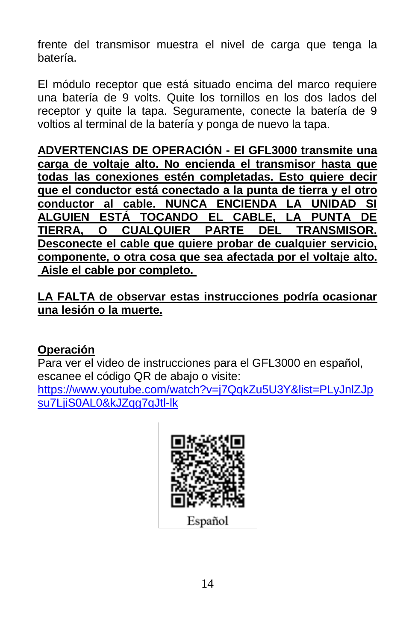frente del transmisor muestra el nivel de carga que tenga la batería.

El módulo receptor que está situado encima del marco requiere una batería de 9 volts. Quite los tornillos en los dos lados del receptor y quite la tapa. Seguramente, conecte la batería de 9 voltios al terminal de la batería y ponga de nuevo la tapa.

**ADVERTENCIAS DE OPERACIÓN - El GFL3000 transmite una carga de voltaje alto. No encienda el transmisor hasta que todas las conexiones estén completadas. Esto quiere decir que el conductor está conectado a la punta de tierra y el otro conductor al cable. NUNCA ENCIENDA LA UNIDAD SI ALGUIEN ESTÁ TOCANDO EL CABLE, LA PUNTA DE TIERRA, O CUALQUIER PARTE DEL TRANSMISOR. Desconecte el cable que quiere probar de cualquier servicio, componente, o otra cosa que sea afectada por el voltaje alto. Aisle el cable por completo.** 

**LA FALTA de observar estas instrucciones podría ocasionar una lesión o la muerte.** 

# **Operación**

Para ver el video de instrucciones para el GFL3000 en español, escanee el código QR de abajo o visite:

[https://www.youtube.com/watch?v=j7QqkZu5U3Y&list=PLyJnlZJp](https://www.youtube.com/watch?v=j7QqkZu5U3Y&list=PLyJnlZJpsu7LjiS0AL0&kJZqg7qJtl-lk) [su7LjiS0AL0&kJZqg7qJtl-lk](https://www.youtube.com/watch?v=j7QqkZu5U3Y&list=PLyJnlZJpsu7LjiS0AL0&kJZqg7qJtl-lk)



Español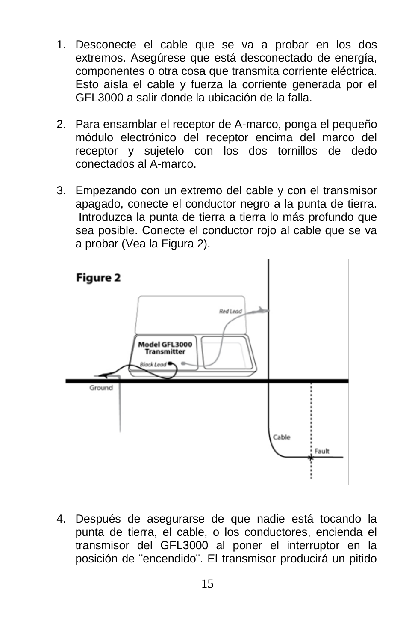- 1. Desconecte el cable que se va a probar en los dos extremos. Asegúrese que está desconectado de energía, componentes o otra cosa que transmita corriente eléctrica. Esto aísla el cable y fuerza la corriente generada por el GFL3000 a salir donde la ubicación de la falla.
- 2. Para ensamblar el receptor de A-marco, ponga el pequeño módulo electrónico del receptor encima del marco del receptor y sujetelo con los dos tornillos de dedo conectados al A-marco.
- 3. Empezando con un extremo del cable y con el transmisor apagado, conecte el conductor negro a la punta de tierra. Introduzca la punta de tierra a tierra lo más profundo que sea posible. Conecte el conductor rojo al cable que se va a probar (Vea la Figura 2).



4. Después de asegurarse de que nadie está tocando la punta de tierra, el cable, o los conductores, encienda el transmisor del GFL3000 al poner el interruptor en la posición de ¨encendido¨. El transmisor producirá un pitido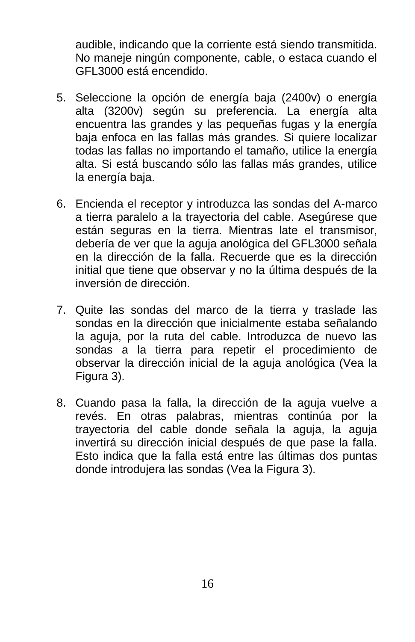audible, indicando que la corriente está siendo transmitida. No maneje ningún componente, cable, o estaca cuando el GFL3000 está encendido.

- 5. Seleccione la opción de energía baja (2400v) o energía alta (3200v) según su preferencia. La energía alta encuentra las grandes y las pequeñas fugas y la energía baja enfoca en las fallas más grandes. Si quiere localizar todas las fallas no importando el tamaño, utilice la energía alta. Si está buscando sólo las fallas más grandes, utilice la energía baja.
- 6. Encienda el receptor y introduzca las sondas del A-marco a tierra paralelo a la trayectoria del cable. Asegúrese que están seguras en la tierra. Mientras late el transmisor, debería de ver que la aguja anológica del GFL3000 señala en la dirección de la falla. Recuerde que es la dirección initial que tiene que observar y no la última después de la inversión de dirección.
- 7. Quite las sondas del marco de la tierra y traslade las sondas en la dirección que inicialmente estaba señalando la aguja, por la ruta del cable. Introduzca de nuevo las sondas a la tierra para repetir el procedimiento de observar la dirección inicial de la aguja anológica (Vea la Figura 3).
- 8. Cuando pasa la falla, la dirección de la aguja vuelve a revés. En otras palabras, mientras continúa por la trayectoria del cable donde señala la aguja, la aguja invertirá su dirección inicial después de que pase la falla. Esto indica que la falla está entre las últimas dos puntas donde introdujera las sondas (Vea la Figura 3).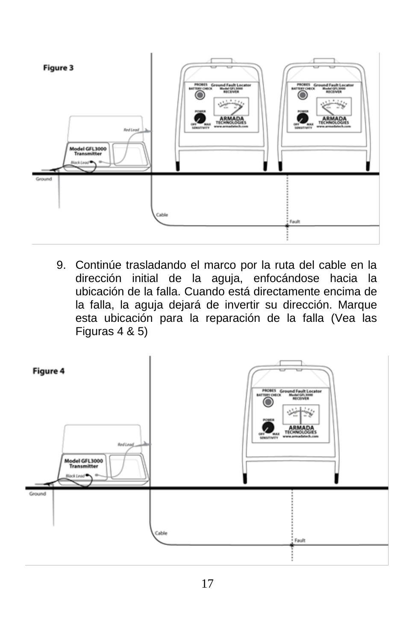

9. Continúe trasladando el marco por la ruta del cable en la dirección initial de la aguja, enfocándose hacia la ubicación de la falla. Cuando está directamente encima de la falla, la aguja dejará de invertir su dirección. Marque esta ubicación para la reparación de la falla (Vea las Figuras 4 & 5)

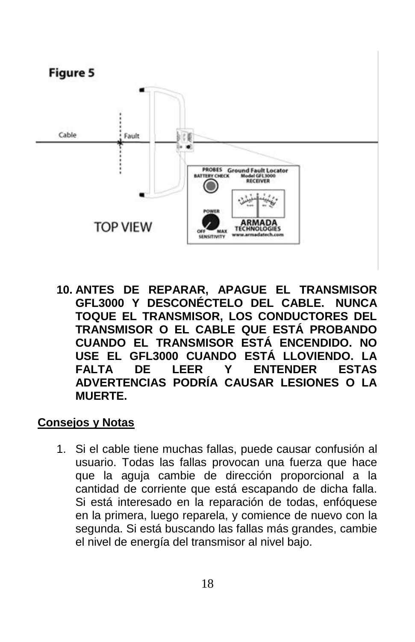

**10. ANTES DE REPARAR, APAGUE EL TRANSMISOR GFL3000 Y DESCONÉCTELO DEL CABLE. NUNCA TOQUE EL TRANSMISOR, LOS CONDUCTORES DEL TRANSMISOR O EL CABLE QUE ESTÁ PROBANDO CUANDO EL TRANSMISOR ESTÁ ENCENDIDO. NO USE EL GFL3000 CUANDO ESTÁ LLOVIENDO. LA FALTA DE LEER Y ENTENDER ESTAS ADVERTENCIAS PODRÍA CAUSAR LESIONES O LA MUERTE.**

#### **Consejos y Notas**

1. Si el cable tiene muchas fallas, puede causar confusión al usuario. Todas las fallas provocan una fuerza que hace que la aguja cambie de dirección proporcional a la cantidad de corriente que está escapando de dicha falla. Si está interesado en la reparación de todas, enfóquese en la primera, luego reparela, y comience de nuevo con la segunda. Si está buscando las fallas más grandes, cambie el nivel de energía del transmisor al nivel bajo.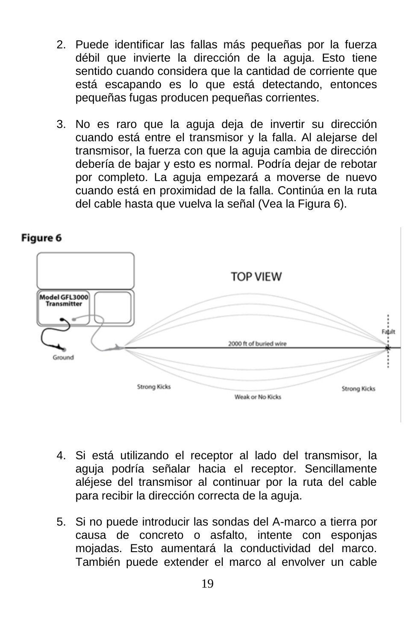- 2. Puede identificar las fallas más pequeñas por la fuerza débil que invierte la dirección de la aguja. Esto tiene sentido cuando considera que la cantidad de corriente que está escapando es lo que está detectando, entonces pequeñas fugas producen pequeñas corrientes.
- 3. No es raro que la aguja deja de invertir su dirección cuando está entre el transmisor y la falla. Al alejarse del transmisor, la fuerza con que la aguja cambia de dirección debería de bajar y esto es normal. Podría dejar de rebotar por completo. La aguja empezará a moverse de nuevo cuando está en proximidad de la falla. Continúa en la ruta del cable hasta que vuelva la señal (Vea la Figura 6).



Figure 6

- 4. Si está utilizando el receptor al lado del transmisor, la aguja podría señalar hacia el receptor. Sencillamente aléjese del transmisor al continuar por la ruta del cable para recibir la dirección correcta de la aguja.
- 5. Si no puede introducir las sondas del A-marco a tierra por causa de concreto o asfalto, intente con esponjas mojadas. Esto aumentará la conductividad del marco. También puede extender el marco al envolver un cable